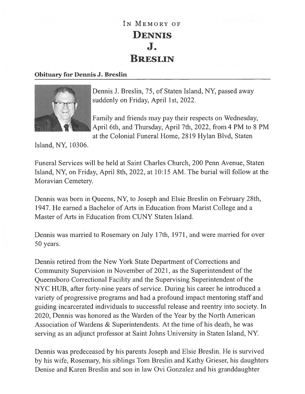## IN MEMORY OF DENNIS J. BRESLIN

## Obituary for Dennis J. Breslin



Dennis J. Breslin, 75, of Staten Island, NY, passed away suddenly on Friday, April 1st, 2022.

Family and friends may pay their respects on Wednesday, April 6th, and Thursday, April 7th, 2022, from 4 PM to 8 PM at the Colonial Funeral Home, 2819 Hylan Blvd, Staten

Island, NY, 10306.

Funeral Services will be held at Saint Charles Church, 200 Penn Avenue, Staten Island, NY, on Friday, April 8th, 2022, at 10:15 AM. The burial will follow at the Moravian Cemetery.

Dennis was born in Queens, NY, to Joseph and Elsie Breslin on February 28th, 1947. He earned <sup>a</sup> Bachelor of Arts in Education from Marist College and <sup>a</sup> Master of Arts in Education from CUNY Staten Island.

Dennis was married to Rosemary on July 17th, 1971, and were married for over 50 years.

Dennis retired from the New York State Department of Corrections and Community Supervision in November of 2021, as the Superintendent of the Queensboro Correctional Facility and the Supervising Superintendent of the NYC HUB, after forty-nine years of service. During his career he introduced <sup>a</sup> variety of progressive programs and had <sup>a</sup> profound impact mentoring staff and guiding incarcerated individuals to successful release and reentry into society. In 2020, Dennis was honored as the Warden of the Year by the North American Association of Wardens & Superintendents. At the time of his death, he was serving as an adjunct professor at Saint Johns University in Staten Island, NY.

Dennis was predeceased by his parents Joseph and Elsie Breslin. He is survived by his wife, Rosemary, his siblings Tom Breslin and Kathy Grieser, his daughters Denise and Karen Breslin and son in law Ovi Gonzalez and his granddaughter